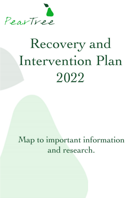

# Recovery and Intervention Plan 2022

Map to important information and research.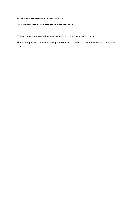#### **RECOVERY AND INTERVENTION PLAN 2022.**

## **MAP TO IMPORTANT INFORMATION AND RESEARCH.**

"If I had more time, I would have written you a shorter note." Mark Twain.

The above quote explains how having more information should result in communicating more concisely.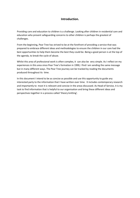## **Introduction.**

Providing care and education to children is a challenge. Looking after children in residential care and education who present safeguarding concerns to other children is perhaps the greatest of challenges.

From the beginning, Pear Tree has strived to be at the forefront of providing a service that was prepared to embrace different ideas and methodologies to ensure the children in our care had the best opportunities to help them become the best they could be. Being a good person is at the top of the agenda, to break the cycle of abuse.

Whilst this area of professional work is often complex, it can also be very simple. As I reflect on my experiences in this area since Pear Tree's formation in 1990, I find I am sending the same message but in many different ways. The Pear Tree journey can be tracked by reading the documents produced throughout its time.

In this document I intend to be as concise as possible and use this opportunity to guide any interested party to the information that I have written over time. It includes contemporary research and importantly to most it is relevant and concise in the areas discussed. As Head of Service, it is my task to find information that is helpful to our organisation and bring these different ideas and perspectives together in a process called 'theory knitting'.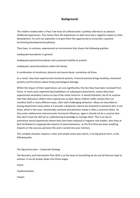# **Background.**

The children looked after in Pear Tree have all suffered what is politely referred to as adverse childhood experiences. This means their life experiences to date have had a negative impact on their development. As such our aspiration is to give them the opportunity to encounter a positive functioning developmental pathway.

They have, in common, experienced an environment that shares the following qualities.

Inadequate boundaries in general.

Inadequate parental boundaries and a parental inability to protect.

Inadequate sexual boundaries within the family.

A combination of emotional, physical and sexual abuse, sometimes all three.

As a result, they have experienced emotional poverty. Financial poverty brings hardship, emotional poverty and the factors above bring psychological damage.

Whilst the impact of their experiences can vary significantly, the fact they have been removed from home, in many cases experiencing breakdowns of subsequent placements, means they have experienced secondary trauma on top of the initial concerns. It should therefore, be of no surprise that their behaviour reflects their experiences to date. Many children suffer anxiety that can manifest itself in many different ways, often with challenging behaviour. Many are described as having attachment issues when it is actually a desperate need to be attached to someone who is not there, which is the issue. Emotionally confused and attention needy is often a common factor. As they enter adolescence and encounter hormonal influences, again it should not be a surprise that they don't have the skill set or underpinning knowledge to manage them. This is on top of premature sexual experiences where they have been exposed to negative role models, who have at best facilitated an inappropriate imprint of sexual behaviour, as the first time you learn anything impacts on the way you perceive this and is carved into your memory.

This complex situation requires a clear and simple action plan which, in its big picture form, is the following plan.

The big picture plan – Corporate Strategy

The Recovery and Intervention Plan 2022 is at the heart of everything we do and all that we hope to achieve. It can be broken down into three stages.

Intent.

Implementation.

Impact.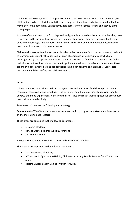It is important to recognise that this process needs to be in sequential order. It is essential to give children time to be comfortable with the stage they are at and have each stage embedded before moving on to the next stage. Consequently, it is necessary to organise lessons and activity plans having regard to this.

As many of our children come from deprived backgrounds it should not be a surprise that they have missed out on the positive functioning developmental pathway. They have been unable to meet developmental stages that are necessary for the brain to grow and have not been encouraged to learn or embrace new positive experiences.

Children who have suffered adverse childhood experiences are fearful of the unknown and resistant to learning. Subsequently they develop all kinds of avoidance strategies, many of which go unrecognised by the support teams around them. To establish a foundation to work on we find it really important to allow children the time to go back and address these issues. In particular those around avoidance strategies and sequential learning, both at home and at school. (Early Years Curriculum Published 19/01/2021 philriozzi.co.uk)

## **INTENT.**

It is our intention to provide a holistic package of care and education for children placed in our residential homes on a long term basis. This will allow them the opportunity to recover from their adverse childhood experiences, learn from their mistakes and reach their full potential, emotionally, practically and academically.

To achieve this, we use the following methodology.

**Environment** – We offer a therapeutic environment which is of great importance and is supported by the most up to date research.

These areas are explained in the following documents:

- In Search of Utopia;
- How to Create a Therapeutic Environment;
- Secure Base Model

**Values** – How teachers, instructors, carers and children live together.

These areas are explained in the following documents:

- The Importance of Values;
- A Therapeutic Approach to Helping Children and Young People Recover from Trauma and Abuse
- Helping Children Learn Values Through Activities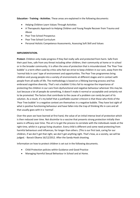**Education - Training - Activities**. These areas are explained in the following documents:

- Helping Children Learn Values Through Activities
- A Therapeutic Approach to Helping Children and Young People Recover from Trauma and Abuse
- Pear Tree School Prospectus
- Pear Tree School Curriculum
- Personal Holistic Competence Assessments, Assessing Soft Skill and Values

## **IMPLEMENTATION.**

**Protect-** Children only make progress if they feel really safe and protected from harm. Safe from their past lives, safe from any threat including other children, their community at home or in school or in the broader community. It is often the area of protection that is misunderstood. The 'Pear Tree bubble' is a term often used by critics who feel we strive to keep children in our care, away from the 'normal kids in care' type of environment and opportunities. The Pear Tree programmes bring children and young people into a variety of environments at different stages and in contact with people from all walks of life. The methodology is based on a lifelong learning process and has embraced cognitive diversity. That's not a bubble! Critics fail to recognise the importance of protecting the children in our care from dysfunctional and negative behaviour wherever this may be. Just because a lot of people do something, it doesn't make it normal or acceptable and certainly not to be promoted. The factors that contribute to the cause of a problem can rarely be part of its solution. As a result, it's my belief that a justifiable counter criticism is that those who think of the 'Pear Tree bubble' in a negative context are themselves in a negative bubble. They have lost sight of what is positive functioning behaviour and have fallen into the trap of thinking life in care and all that usually goes with it is 'normal'.

Over the years we have learned at first hand, the value of an initial intense level of protection which is then reduced over time. Not dissimilar to a vaccine that presents strong protection initially then wains in efficacy over time. The art is to get the process to correlate with the individuals needs at the right time, whilst in a group living situation. Every child is different and some need protecting from harmful behaviours and influences, for longer than others. (This is our first task, caring for our children, if we don't get that right, we don't get anything right. That's how, as a society, we will be judged. - Barack Obama 16/12/2012. After the Sandy-Hook shooting.

Information on how to protect children is set out in the following documents.

- Child Protection policies within Guidance and Good Practice
- Managing Harmful Sexual Behaviour in School and at Home.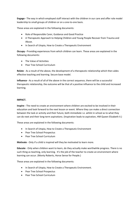**Engage -** The way in which employed staff interact with the children in our care and offer role model leadership to small groups of children or on a one-to-one basis.

These areas are explained in the following documents:

- Role of Responsible Carer, Guidance and Good Practice
- A Therapeutic Approach to Helping Children and Young People Recover from Trauma and Abuse.
- In Search of Utopia, How to Create a Therapeutic Environment

**Occupy -** Providing experiences from which children can learn. These areas are explained in the following documents:

- The Value of Activities
- Pear Tree School Curriculum

**Relate** - As a result of the above, the development of a therapeutic relationship which then aides effective teaching and learning. Secure base model.

**Influence -** As a result of all of the above in the correct sequence, there will be a successful therapeutic relationship, the outcome will be that of a positive influence to the child and increased learning.

## **IMPACT.**

**Inspire -** The need to create an environment where children are excited to be involved in their education and look forward to the next lesson or event. Where they can make a direct connection between the task or activity and their future, both immediate i.e. whilst in school as to what they can do next and their long-term aspirations. (Inspiration leads to aspiration, HM Queen Elizabeth II.)

These areas are explained in the following documents:

- In Search of Utopia, How to Create a Therapeutic Environment
- Pear Tree School Prospectus
- Pear Tree School Curriculum

**Motivate** - Only if a child is inspired will they be motivated to learn more.

**Educate** - Only when children want to learn, do they actually make worthwhile progress. There is no such thing as teaching, only learning. It's the job of the teacher to create an environment where learning can occur. (Monty Roberts, Horse Sense for People.)

These areas are explained in the following documents:

- In Search of Utopia, How to Create a Therapeutic Environment.
- Pear Tree School Prospectus
- Pear Tree School Curriculum